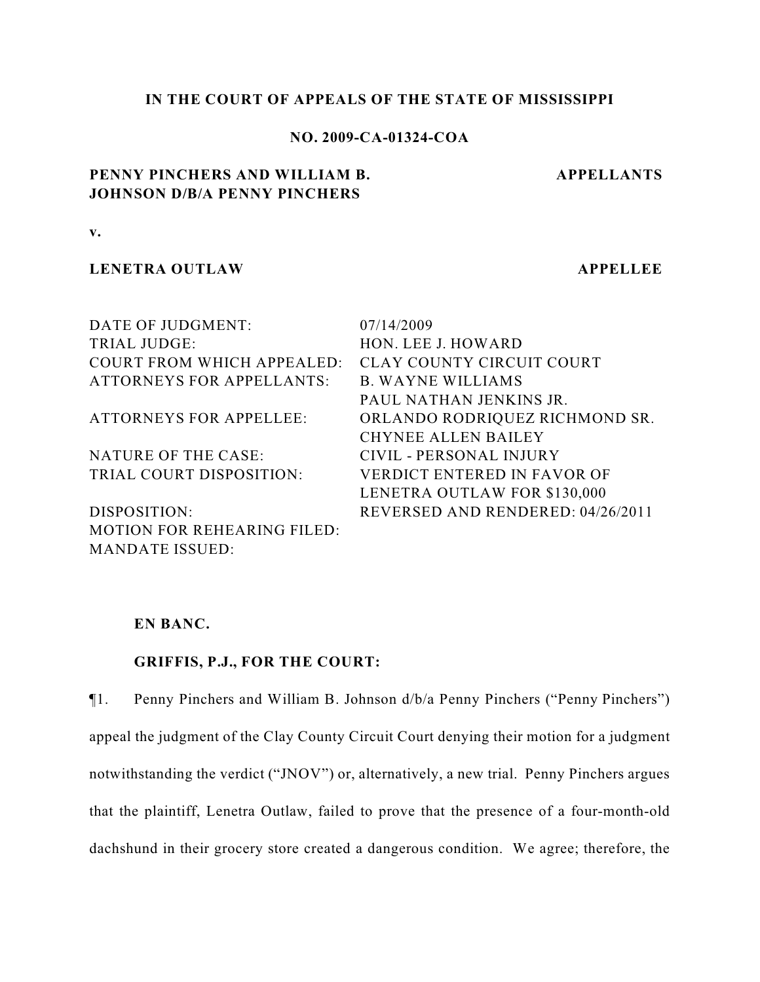### **IN THE COURT OF APPEALS OF THE STATE OF MISSISSIPPI**

### **NO. 2009-CA-01324-COA**

## **PENNY PINCHERS AND WILLIAM B. JOHNSON D/B/A PENNY PINCHERS**

**APPELLANTS**

**v.**

## **LENETRA OUTLAW APPELLEE**

| DATE OF JUDGMENT:                  | 07/14/2009                         |
|------------------------------------|------------------------------------|
| <b>TRIAL JUDGE:</b>                | HON. LEE J. HOWARD                 |
| <b>COURT FROM WHICH APPEALED:</b>  | CLAY COUNTY CIRCUIT COURT          |
| <b>ATTORNEYS FOR APPELLANTS:</b>   | <b>B. WAYNE WILLIAMS</b>           |
|                                    | PAUL NATHAN JENKINS JR.            |
| <b>ATTORNEYS FOR APPELLEE:</b>     | ORLANDO RODRIQUEZ RICHMOND SR.     |
|                                    | <b>CHYNEE ALLEN BAILEY</b>         |
| NATURE OF THE CASE:                | CIVIL - PERSONAL INJURY            |
| TRIAL COURT DISPOSITION:           | <b>VERDICT ENTERED IN FAVOR OF</b> |
|                                    | LENETRA OUTLAW FOR \$130,000       |
| DISPOSITION:                       | REVERSED AND RENDERED: 04/26/2011  |
| <b>MOTION FOR REHEARING FILED:</b> |                                    |
| <b>MANDATE ISSUED:</b>             |                                    |

## **EN BANC.**

# **GRIFFIS, P.J., FOR THE COURT:**

¶1. Penny Pinchers and William B. Johnson d/b/a Penny Pinchers ("Penny Pinchers") appeal the judgment of the Clay County Circuit Court denying their motion for a judgment notwithstanding the verdict ("JNOV") or, alternatively, a new trial. Penny Pinchers argues that the plaintiff, Lenetra Outlaw, failed to prove that the presence of a four-month-old dachshund in their grocery store created a dangerous condition. We agree; therefore, the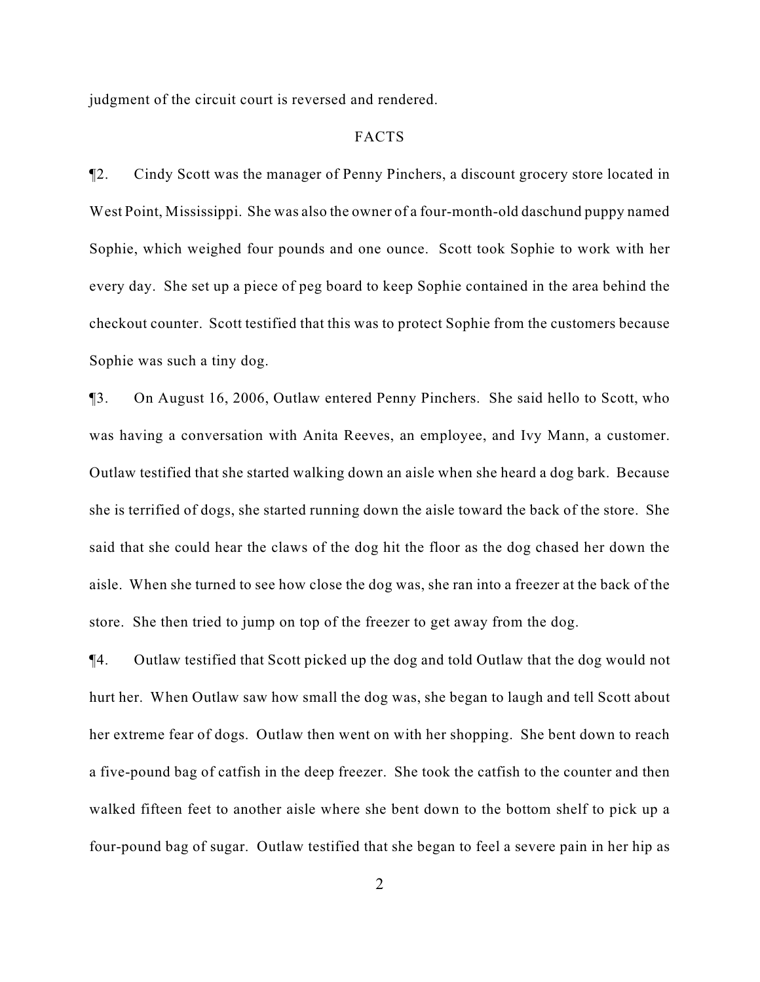judgment of the circuit court is reversed and rendered.

### FACTS

¶2. Cindy Scott was the manager of Penny Pinchers, a discount grocery store located in West Point, Mississippi. She was also the owner of a four-month-old daschund puppy named Sophie, which weighed four pounds and one ounce. Scott took Sophie to work with her every day. She set up a piece of peg board to keep Sophie contained in the area behind the checkout counter. Scott testified that this was to protect Sophie from the customers because Sophie was such a tiny dog.

¶3. On August 16, 2006, Outlaw entered Penny Pinchers. She said hello to Scott, who was having a conversation with Anita Reeves, an employee, and Ivy Mann, a customer. Outlaw testified that she started walking down an aisle when she heard a dog bark. Because she is terrified of dogs, she started running down the aisle toward the back of the store. She said that she could hear the claws of the dog hit the floor as the dog chased her down the aisle. When she turned to see how close the dog was, she ran into a freezer at the back of the store. She then tried to jump on top of the freezer to get away from the dog.

¶4. Outlaw testified that Scott picked up the dog and told Outlaw that the dog would not hurt her. When Outlaw saw how small the dog was, she began to laugh and tell Scott about her extreme fear of dogs. Outlaw then went on with her shopping. She bent down to reach a five-pound bag of catfish in the deep freezer. She took the catfish to the counter and then walked fifteen feet to another aisle where she bent down to the bottom shelf to pick up a four-pound bag of sugar. Outlaw testified that she began to feel a severe pain in her hip as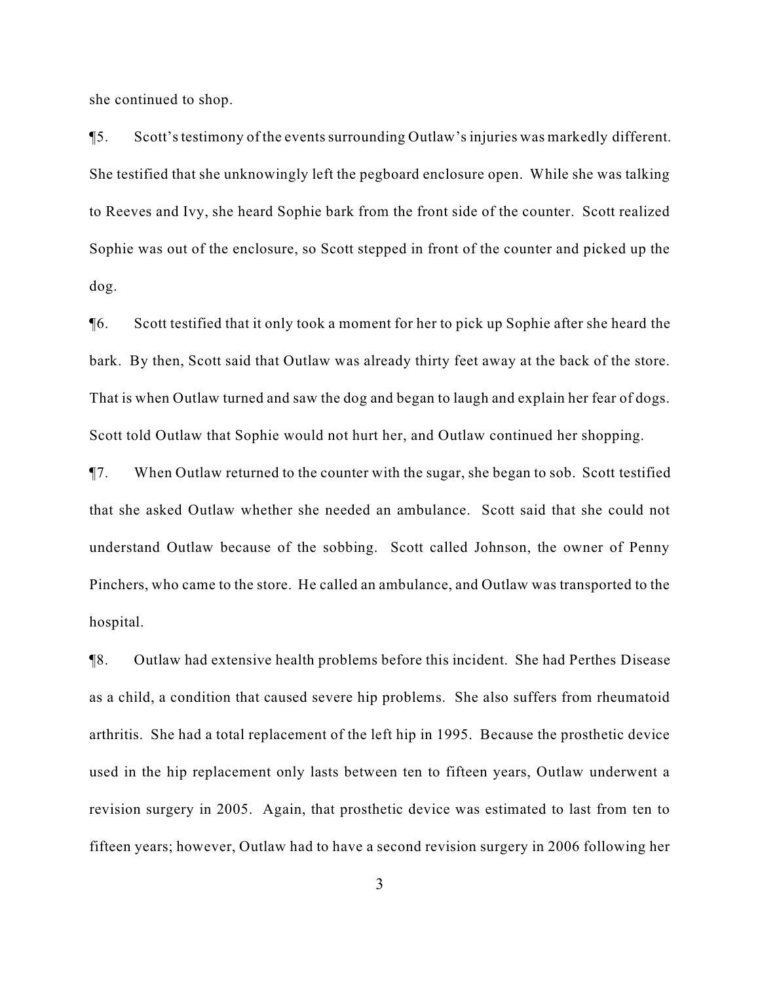she continued to shop.

¶5. Scott's testimony of the events surrounding Outlaw's injuries was markedly different. She testified that she unknowingly left the pegboard enclosure open. While she was talking to Reeves and Ivy, she heard Sophie bark from the front side of the counter. Scott realized Sophie was out of the enclosure, so Scott stepped in front of the counter and picked up the dog.

¶6. Scott testified that it only took a moment for her to pick up Sophie after she heard the bark. By then, Scott said that Outlaw was already thirty feet away at the back of the store. That is when Outlaw turned and saw the dog and began to laugh and explain her fear of dogs. Scott told Outlaw that Sophie would not hurt her, and Outlaw continued her shopping.

¶7. When Outlaw returned to the counter with the sugar, she began to sob. Scott testified that she asked Outlaw whether she needed an ambulance. Scott said that she could not understand Outlaw because of the sobbing. Scott called Johnson, the owner of Penny Pinchers, who came to the store. He called an ambulance, and Outlaw was transported to the hospital.

¶8. Outlaw had extensive health problems before this incident. She had Perthes Disease as a child, a condition that caused severe hip problems. She also suffers from rheumatoid arthritis. She had a total replacement of the left hip in 1995. Because the prosthetic device used in the hip replacement only lasts between ten to fifteen years, Outlaw underwent a revision surgery in 2005. Again, that prosthetic device was estimated to last from ten to fifteen years; however, Outlaw had to have a second revision surgery in 2006 following her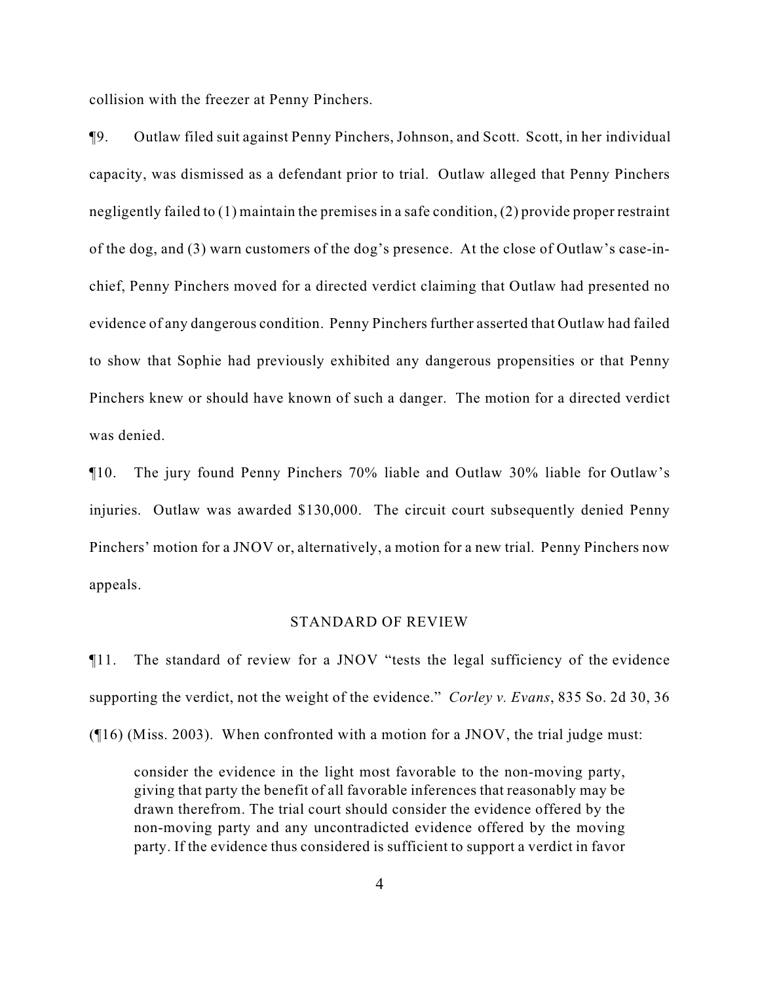collision with the freezer at Penny Pinchers.

¶9. Outlaw filed suit against Penny Pinchers, Johnson, and Scott. Scott, in her individual capacity, was dismissed as a defendant prior to trial. Outlaw alleged that Penny Pinchers negligently failed to (1) maintain the premises in a safe condition, (2) provide proper restraint of the dog, and (3) warn customers of the dog's presence. At the close of Outlaw's case-inchief, Penny Pinchers moved for a directed verdict claiming that Outlaw had presented no evidence of any dangerous condition. Penny Pinchers further asserted that Outlaw had failed to show that Sophie had previously exhibited any dangerous propensities or that Penny Pinchers knew or should have known of such a danger. The motion for a directed verdict was denied.

¶10. The jury found Penny Pinchers 70% liable and Outlaw 30% liable for Outlaw's injuries. Outlaw was awarded \$130,000. The circuit court subsequently denied Penny Pinchers' motion for a JNOV or, alternatively, a motion for a new trial. Penny Pinchers now appeals.

#### STANDARD OF REVIEW

¶11. The standard of review for a JNOV "tests the legal sufficiency of the evidence supporting the verdict, not the weight of the evidence." *Corley v. Evans*, 835 So. 2d 30, 36

(¶16) (Miss. 2003). When confronted with a motion for a JNOV, the trial judge must:

consider the evidence in the light most favorable to the non-moving party, giving that party the benefit of all favorable inferences that reasonably may be drawn therefrom. The trial court should consider the evidence offered by the non-moving party and any uncontradicted evidence offered by the moving party. If the evidence thus considered is sufficient to support a verdict in favor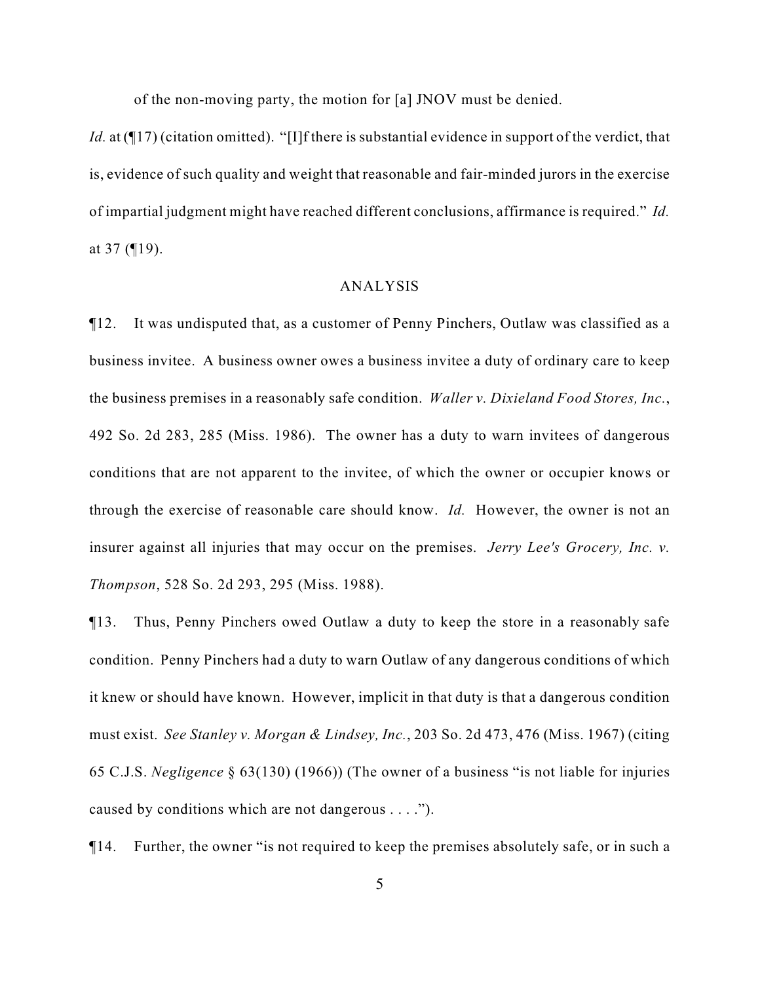of the non-moving party, the motion for [a] JNOV must be denied.

*Id.* at (¶17) (citation omitted). "[I]f there is substantial evidence in support of the verdict, that is, evidence of such quality and weight that reasonable and fair-minded jurors in the exercise of impartial judgment might have reached different conclusions, affirmance is required." *Id.* at 37 (¶19).

### ANALYSIS

¶12. It was undisputed that, as a customer of Penny Pinchers, Outlaw was classified as a business invitee. A business owner owes a business invitee a duty of ordinary care to keep the business premises in a reasonably safe condition. *Waller v. Dixieland Food Stores, Inc.*, 492 So. 2d 283, 285 (Miss. 1986). The owner has a duty to warn invitees of dangerous conditions that are not apparent to the invitee, of which the owner or occupier knows or through the exercise of reasonable care should know. *Id.* However, the owner is not an insurer against all injuries that may occur on the premises. *Jerry Lee's Grocery, Inc. v. Thompson*, 528 So. 2d 293, 295 (Miss. 1988).

¶13. Thus, Penny Pinchers owed Outlaw a duty to keep the store in a reasonably safe condition. Penny Pinchers had a duty to warn Outlaw of any dangerous conditions of which it knew or should have known. However, implicit in that duty is that a dangerous condition must exist. *See Stanley v. Morgan & Lindsey, Inc.*, 203 So. 2d 473, 476 (Miss. 1967) (citing 65 C.J.S. *Negligence* § 63(130) (1966)) (The owner of a business "is not liable for injuries caused by conditions which are not dangerous . . . .").

¶14. Further, the owner "is not required to keep the premises absolutely safe, or in such a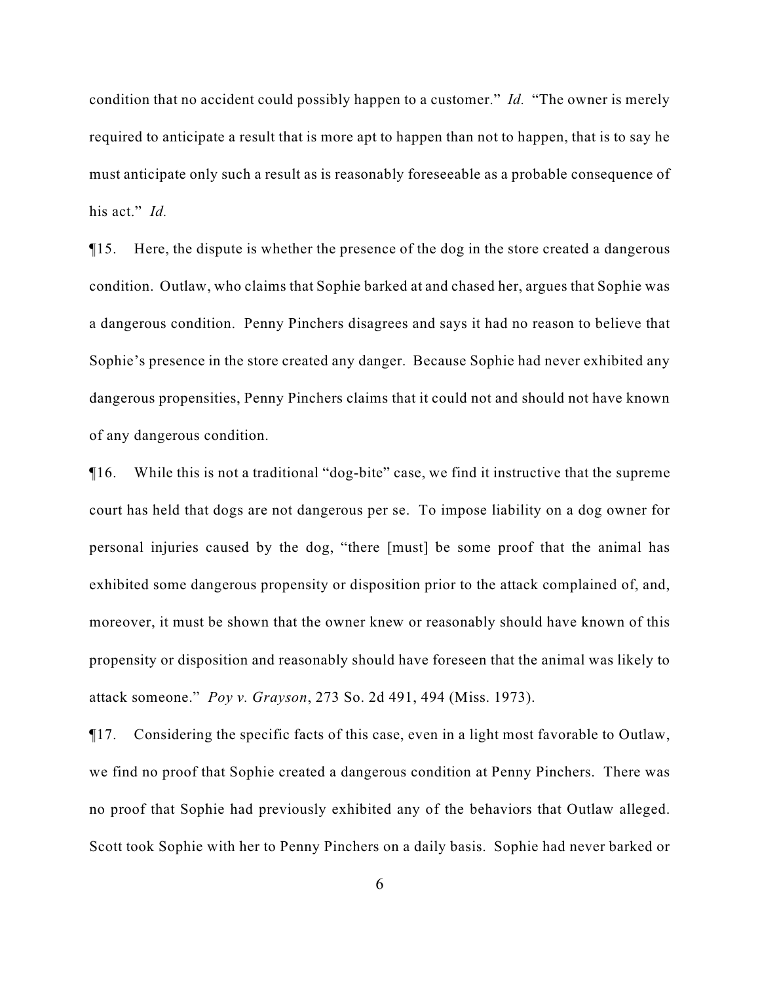condition that no accident could possibly happen to a customer." *Id.* "The owner is merely required to anticipate a result that is more apt to happen than not to happen, that is to say he must anticipate only such a result as is reasonably foreseeable as a probable consequence of his act." *Id.*

¶15. Here, the dispute is whether the presence of the dog in the store created a dangerous condition. Outlaw, who claims that Sophie barked at and chased her, argues that Sophie was a dangerous condition. Penny Pinchers disagrees and says it had no reason to believe that Sophie's presence in the store created any danger. Because Sophie had never exhibited any dangerous propensities, Penny Pinchers claims that it could not and should not have known of any dangerous condition.

¶16. While this is not a traditional "dog-bite" case, we find it instructive that the supreme court has held that dogs are not dangerous per se. To impose liability on a dog owner for personal injuries caused by the dog, "there [must] be some proof that the animal has exhibited some dangerous propensity or disposition prior to the attack complained of, and, moreover, it must be shown that the owner knew or reasonably should have known of this propensity or disposition and reasonably should have foreseen that the animal was likely to attack someone." *Poy v. Grayson*, 273 So. 2d 491, 494 (Miss. 1973).

¶17. Considering the specific facts of this case, even in a light most favorable to Outlaw, we find no proof that Sophie created a dangerous condition at Penny Pinchers. There was no proof that Sophie had previously exhibited any of the behaviors that Outlaw alleged. Scott took Sophie with her to Penny Pinchers on a daily basis. Sophie had never barked or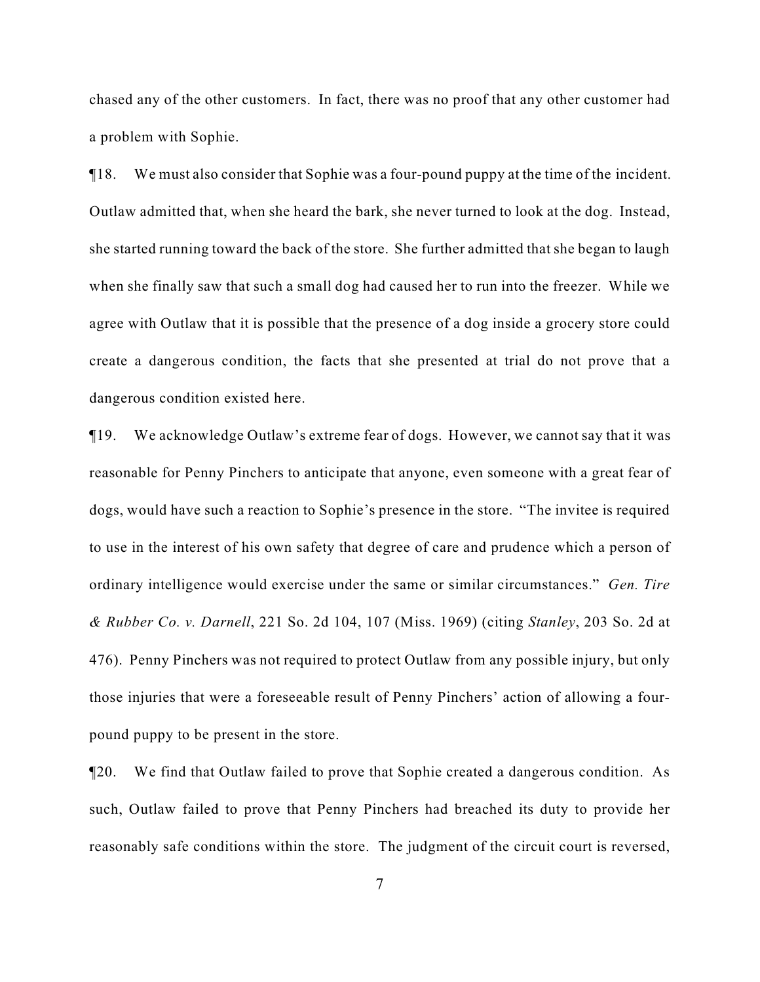chased any of the other customers. In fact, there was no proof that any other customer had a problem with Sophie.

¶18. We must also consider that Sophie was a four-pound puppy at the time of the incident. Outlaw admitted that, when she heard the bark, she never turned to look at the dog. Instead, she started running toward the back of the store. She further admitted that she began to laugh when she finally saw that such a small dog had caused her to run into the freezer. While we agree with Outlaw that it is possible that the presence of a dog inside a grocery store could create a dangerous condition, the facts that she presented at trial do not prove that a dangerous condition existed here.

¶19. We acknowledge Outlaw's extreme fear of dogs. However, we cannot say that it was reasonable for Penny Pinchers to anticipate that anyone, even someone with a great fear of dogs, would have such a reaction to Sophie's presence in the store. "The invitee is required to use in the interest of his own safety that degree of care and prudence which a person of ordinary intelligence would exercise under the same or similar circumstances." *Gen. Tire & Rubber Co. v. Darnell*, 221 So. 2d 104, 107 (Miss. 1969) (citing *Stanley*, 203 So. 2d at 476). Penny Pinchers was not required to protect Outlaw from any possible injury, but only those injuries that were a foreseeable result of Penny Pinchers' action of allowing a fourpound puppy to be present in the store.

¶20. We find that Outlaw failed to prove that Sophie created a dangerous condition. As such, Outlaw failed to prove that Penny Pinchers had breached its duty to provide her reasonably safe conditions within the store. The judgment of the circuit court is reversed,